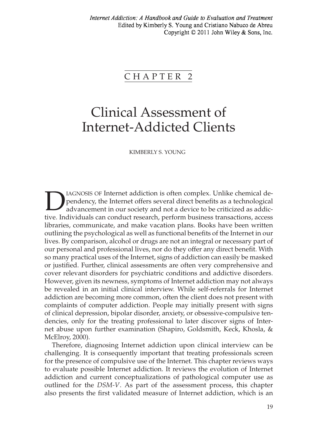*Internet Addiction: A Handbook and Guide to Evaluation and Treatment*  Edited by Kimberly S. Young and Cristiano Nabuco de Abreu Copyright © 2011 John Wiley & Sons, Inc.

# CHAPTER 2

# Clinical Assessment of Internet-Addicted Clients

KIMBERLY S. YOUNG

IAGNOSIS OF Internet addiction is often complex. Unlike chemical dependency, the Internet offers several direct benefits as a technological advancement in our society and not a device to be criticized as addictive Individu pendency, the Internet offers several direct benefits as a technological advancement in our society and not a device to be criticized as addictive. Individuals can conduct research, perform business transactions, access libraries, communicate, and make vacation plans. Books have been written outlining the psychological as well as functional benefits of the Internet in our lives. By comparison, alcohol or drugs are not an integral or necessary part of our personal and professional lives, nor do they offer any direct benefit. With so many practical uses of the Internet, signs of addiction can easily be masked or justified. Further, clinical assessments are often very comprehensive and cover relevant disorders for psychiatric conditions and addictive disorders. However, given its newness, symptoms of Internet addiction may not always be revealed in an initial clinical interview. While self-referrals for Internet addiction are becoming more common, often the client does not present with complaints of computer addiction. People may initially present with signs of clinical depression, bipolar disorder, anxiety, or obsessive-compulsive tendencies, only for the treating professional to later discover signs of Internet abuse upon further examination (Shapiro, Goldsmith, Keck, Khosla, & McElroy, 2000).

Therefore, diagnosing Internet addiction upon clinical interview can be challenging. It is consequently important that treating professionals screen for the presence of compulsive use of the Internet. This chapter reviews ways to evaluate possible Internet addiction. It reviews the evolution of Internet addiction and current conceptualizations of pathological computer use as outlined for the *DSM-V*. As part of the assessment process, this chapter also presents the first validated measure of Internet addiction, which is an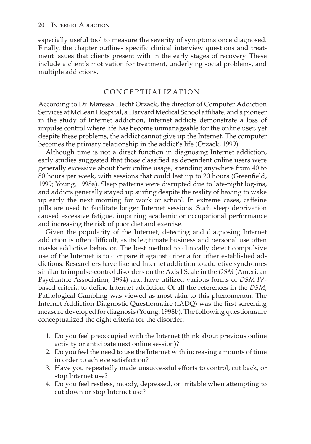especially useful tool to measure the severity of symptoms once diagnosed. Finally, the chapter outlines specific clinical interview questions and treatment issues that clients present with in the early stages of recovery. These include a client's motivation for treatment, underlying social problems, and multiple addictions.

# CON CEPTUALIZATION

According to Dr. Maressa Hecht Orzack, the director of Computer Addiction Services at McLean Hospital, a Harvard Medical School affiliate, and a pioneer in the study of Internet addiction, Internet addicts demonstrate a loss of impulse control where life has become unmanageable for the online user, yet despite these problems, the addict cannot give up the Internet. The computer becomes the primary relationship in the addict's life (Orzack, 1999).

Although time is not a direct function in diagnosing Internet addiction, early studies suggested that those classified as dependent online users were generally excessive about their online usage, spending anywhere from 40 to 80 hours per week, with sessions that could last up to 20 hours (Greenfield, 1999; Young, 1998a). Sleep patterns were disrupted due to late-night log-ins, and addicts generally stayed up surfing despite the reality of having to wake up early the next morning for work or school. In extreme cases, caffeine pills are used to facilitate longer Internet sessions. Such sleep deprivation caused excessive fatigue, impairing academic or occupational performance and increasing the risk of poor diet and exercise.

Given the popularity of the Internet, detecting and diagnosing Internet addiction is often difficult, as its legitimate business and personal use often masks addictive behavior. The best method to clinically detect compulsive use of the Internet is to compare it against criteria for other established addictions. Researchers have likened Internet addiction to addictive syndromes similar to impulse-control disorders on the Axis I Scale in the *DSM* (American Psychiatric Association, 1994) and have utilized various forms of *DSM-IV*based criteria to define Internet addiction. Of all the references in the *DSM*, Pathological Gambling was viewed as most akin to this phenomenon. The Internet Addiction Diagnostic Questionnaire (IADQ) was the first screening measure developed for diagnosis (Young, 1998b). The following questionnaire conceptualized the eight criteria for the disorder:

- 1. Do you feel preoccupied with the Internet (think about previous online activity or anticipate next online session)?
- 2. Do you feel the need to use the Internet with increasing amounts of time in order to achieve satisfaction?
- 3. Have you repeatedly made unsuccessful efforts to control, cut back, or stop Internet use?
- 4. Do you feel restless, moody, depressed, or irritable when attempting to cut down or stop Internet use?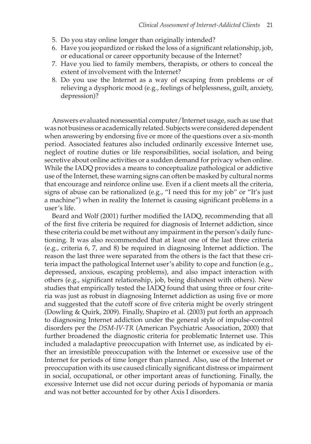- 5. Do you stay online longer than originally intended?
- 6. Have you jeopardized or risked the loss of a significant relationship, job, or educational or career opportunity because of the Internet?
- 7. Have you lied to family members, therapists, or others to conceal the extent of involvement with the Internet?
- 8. Do you use the Internet as a way of escaping from problems or of relieving a dysphoric mood (e.g., feelings of helplessness, guilt, anxiety, depression)?

Answers evaluated nonessential computer/Internet usage, such as use that was not business or academically related. Subjects were considered dependent when answering by endorsing five or more of the questions over a six-month period. Associated features also included ordinarily excessive Internet use, neglect of routine duties or life responsibilities, social isolation, and being secretive about online activities or a sudden demand for privacy when online. While the IADQ provides a means to conceptualize pathological or addictive use of the Internet, these warning signs can often be masked by cultural norms that encourage and reinforce online use. Even if a client meets all the criteria, signs of abuse can be rationalized (e.g., "I need this for my job" or "It's just a machine") when in reality the Internet is causing significant problems in a user's life.

Beard and Wolf (2001) further modified the IADQ, recommending that all of the first five criteria be required for diagnosis of Internet addiction, since these criteria could be met without any impairment in the person's daily functioning. It was also recommended that at least one of the last three criteria (e.g., criteria 6, 7, and 8) be required in diagnosing Internet addiction. The reason the last three were separated from the others is the fact that these criteria impact the pathological Internet user's ability to cope and function (e.g., depressed, anxious, escaping problems), and also impact interaction with others (e.g., significant relationship, job, being dishonest with others). New studies that empirically tested the IADQ found that using three or four criteria was just as robust in diagnosing Internet addiction as using five or more and suggested that the cutoff score of five criteria might be overly stringent (Dowling & Quirk, 2009). Finally, Shapiro et al. (2003) put forth an approach to diagnosing Internet addiction under the general style of impulse-control disorders per the *DSM-IV-TR* (American Psychiatric Association, 2000) that further broadened the diagnostic criteria for problematic Internet use. This included a maladaptive preoccupation with Internet use, as indicated by either an irresistible preoccupation with the Internet or excessive use of the Internet for periods of time longer than planned. Also, use of the Internet or preoccupation with its use caused clinically significant distress or impairment in social, occupational, or other important areas of functioning. Finally, the excessive Internet use did not occur during periods of hypomania or mania and was not better accounted for by other Axis I disorders.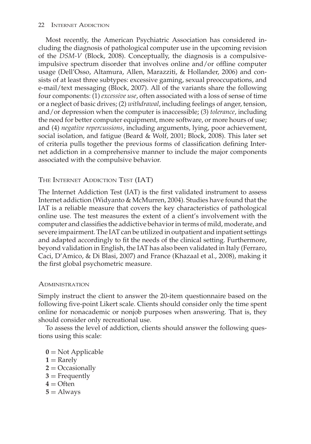Most recently, the American Psychiatric Association has considered including the diagnosis of pathological computer use in the upcoming revision of the *DSM-V* (Block, 2008). Conceptually, the diagnosis is a compulsiveimpulsive spectrum disorder that involves online and/or offline computer usage (Dell'Osso, Altamura, Allen, Marazziti, & Hollander, 2006) and consists of at least three subtypes: excessive gaming, sexual preoccupations, and e-mail/text messaging (Block, 2007). All of the variants share the following four components: (1) *excessive use*, often associated with a loss of sense of time or a neglect of basic drives; (2) *withdrawal*, including feelings of anger, tension, and/or depression when the computer is inaccessible; (3) *tolerance*, including the need for better computer equipment, more software, or more hours of use; and (4) *negative repercussions*, including arguments, lying, poor achievement, social isolation, and fatigue (Beard & Wolf, 2001; Block, 2008). This later set of criteria pulls together the previous forms of classification defining Internet addiction in a comprehensive manner to include the major components associated with the compulsive behavior.

# THE INTERNET ADDICTION TEST (IAT)

The Internet Addiction Test (IAT) is the first validated instrument to assess Internet addiction (Widyanto & McMurren, 2004). Studies have found that the IAT is a reliable measure that covers the key characteristics of pathological online use. The test measures the extent of a client's involvement with the computer and classifies the addictive behavior in terms of mild, moderate, and severe impairment. The IAT can be utilized in outpatient and inpatient settings and adapted accordingly to fit the needs of the clinical setting. Furthermore, beyond validation in English, the IAT has also been validated in Italy (Ferraro, Caci, D'Amico, & Di Blasi, 2007) and France (Khazaal et al., 2008), making it the first global psychometric measure.

### **ADMINISTRATION**

Simply instruct the client to answer the 20-item questionnaire based on the following five-point Likert scale. Clients should consider only the time spent online for nonacademic or nonjob purposes when answering. That is, they should consider only recreational use.

To assess the level of addiction, clients should answer the following questions using this scale:

- **0** = Not Applicable
- $1 =$ Rarely
- **2** = Occasionally
- **3** = Frequently
- $4 =$ Often
- $5 =$  Always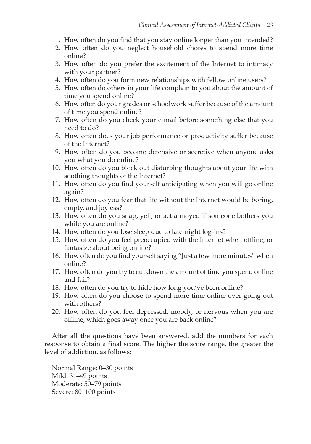- 1. How often do you find that you stay online longer than you intended?
- 2. How often do you neglect household chores to spend more time online?
- 3. How often do you prefer the excitement of the Internet to intimacy with your partner?
- 4. How often do you form new relationships with fellow online users?
- 5. How often do others in your life complain to you about the amount of time you spend online?
- 6. How often do your grades or schoolwork suffer because of the amount of time you spend online?
- 7. How often do you check your e-mail before something else that you need to do?
- 8. How often does your job performance or productivity suffer because of the Internet?
- 9. How often do you become defensive or secretive when anyone asks you what you do online?
- 10. How often do you block out disturbing thoughts about your life with soothing thoughts of the Internet?
- 11. How often do you find yourself anticipating when you will go online again?
- 12. How often do you fear that life without the Internet would be boring, empty, and joyless?
- 13. How often do you snap, yell, or act annoyed if someone bothers you while you are online?
- 14. How often do you lose sleep due to late-night log-ins?
- 15. How often do you feel preoccupied with the Internet when offline, or fantasize about being online?
- 16. How often do you find yourself saying "Just a few more minutes" when online?
- 17. How often do you try to cut down the amount of time you spend online and fail?
- 18. How often do you try to hide how long you've been online?
- 19. How often do you choose to spend more time online over going out with others?
- 20. How often do you feel depressed, moody, or nervous when you are offline, which goes away once you are back online?

After all the questions have been answered, add the numbers for each response to obtain a final score. The higher the score range, the greater the level of addiction, as follows:

Normal Range: 0–30 points Mild: 31–49 points Moderate: 50–79 points Severe: 80–100 points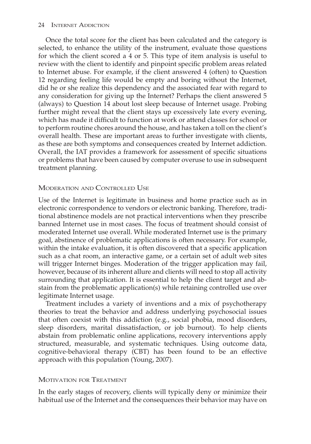Once the total score for the client has been calculated and the category is selected, to enhance the utility of the instrument, evaluate those questions for which the client scored a 4 or 5. This type of item analysis is useful to review with the client to identify and pinpoint specific problem areas related to Internet abuse. For example, if the client answered 4 (often) to Question 12 regarding feeling life would be empty and boring without the Internet, did he or she realize this dependency and the associated fear with regard to any consideration for giving up the Internet? Perhaps the client answered 5 (always) to Question 14 about lost sleep because of Internet usage. Probing further might reveal that the client stays up excessively late every evening, which has made it difficult to function at work or attend classes for school or to perform routine chores around the house, and has taken a toll on the client's overall health. These are important areas to further investigate with clients, as these are both symptoms and consequences created by Internet addiction. Overall, the IAT provides a framework for assessment of specific situations or problems that have been caused by computer overuse to use in subsequent treatment planning.

#### MODERATION AND CONTROLLED USE

Use of the Internet is legitimate in business and home practice such as in electronic correspondence to vendors or electronic banking. Therefore, traditional abstinence models are not practical interventions when they prescribe banned Internet use in most cases. The focus of treatment should consist of moderated Internet use overall. While moderated Internet use is the primary goal, abstinence of problematic applications is often necessary. For example, within the intake evaluation, it is often discovered that a specific application such as a chat room, an interactive game, or a certain set of adult web sites will trigger Internet binges. Moderation of the trigger application may fail, however, because of its inherent allure and clients will need to stop all activity surrounding that application. It is essential to help the client target and abstain from the problematic application(s) while retaining controlled use over legitimate Internet usage.

Treatment includes a variety of inventions and a mix of psychotherapy theories to treat the behavior and address underlying psychosocial issues that often coexist with this addiction (e.g., social phobia, mood disorders, sleep disorders, marital dissatisfaction, or job burnout). To help clients abstain from problematic online applications, recovery interventions apply structured, measurable, and systematic techniques. Using outcome data, cognitive-behavioral therapy (CBT) has been found to be an effective approach with this population (Young, 2007).

#### MOTIVATION FOR TREATMENT

In the early stages of recovery, clients will typically deny or minimize their habitual use of the Internet and the consequences their behavior may have on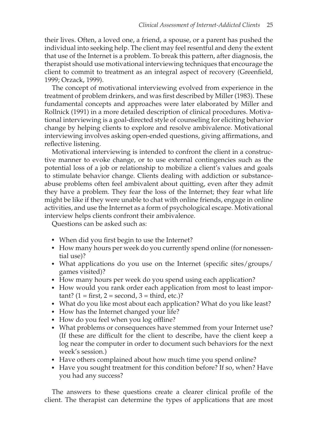their lives. Often, a loved one, a friend, a spouse, or a parent has pushed the individual into seeking help. The client may feel resentful and deny the extent that use of the Internet is a problem. To break this pattern, after diagnosis, the therapist should use motivational interviewing techniques that encourage the client to commit to treatment as an integral aspect of recovery (Greenfield, 1999; Orzack, 1999).

The concept of motivational interviewing evolved from experience in the treatment of problem drinkers, and was first described by Miller (1983). These fundamental concepts and approaches were later elaborated by Miller and Rollnick (1991) in a more detailed description of clinical procedures. Motivational interviewing is a goal-directed style of counseling for eliciting behavior change by helping clients to explore and resolve ambivalence. Motivational interviewing involves asking open-ended questions, giving affirmations, and reflective listening.

Motivational interviewing is intended to confront the client in a constructive manner to evoke change, or to use external contingencies such as the potential loss of a job or relationship to mobilize a client's values and goals to stimulate behavior change. Clients dealing with addiction or substanceabuse problems often feel ambivalent about quitting, even after they admit they have a problem. They fear the loss of the Internet; they fear what life might be like if they were unable to chat with online friends, engage in online activities, and use the Internet as a form of psychological escape. Motivational interview helps clients confront their ambivalence.

Questions can be asked such as:

- When did you first begin to use the Internet?
- How many hours per week do you currently spend online (for nonessential use)?
- What applications do you use on the Internet (specific sites/groups/ games visited)?
- How many hours per week do you spend using each application?
- How would you rank order each application from most to least impor $tant? (1 = first, 2 = second, 3 = third, etc.)?$
- What do you like most about each application? What do you like least?
- How has the Internet changed your life?
- How do you feel when you log offline?
- What problems or consequences have stemmed from your Internet use? (If these are difficult for the client to describe, have the client keep a log near the computer in order to document such behaviors for the next week's session.)
- Have others complained about how much time you spend online?
- Have you sought treatment for this condition before? If so, when? Have you had any success?

The answers to these questions create a clearer clinical profile of the client. The therapist can determine the types of applications that are most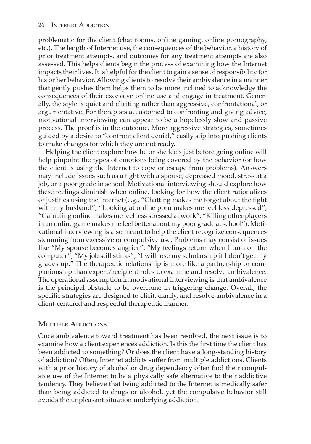problematic for the client (chat rooms, online gaming, online pornography, etc.). The length of Internet use, the consequences of the behavior, a history of prior treatment attempts, and outcomes for any treatment attempts are also assessed. This helps clients begin the process of examining how the Internet impacts their lives. It is helpful for the client to gain a sense of responsibility for his or her behavior. Allowing clients to resolve their ambivalence in a manner that gently pushes them helps them to be more inclined to acknowledge the consequences of their excessive online use and engage in treatment. Generally, the style is quiet and eliciting rather than aggressive, confrontational, or argumentative. For therapists accustomed to confronting and giving advice, motivational interviewing can appear to be a hopelessly slow and passive process. The proof is in the outcome. More aggressive strategies, sometimes guided by a desire to "confront client denial," easily slip into pushing clients to make changes for which they are not ready.

Helping the client explore how he or she feels just before going online will help pinpoint the types of emotions being covered by the behavior (or how the client is using the Internet to cope or escape from problems). Answers may include issues such as a fight with a spouse, depressed mood, stress at a job, or a poor grade in school. Motivational interviewing should explore how these feelings diminish when online, looking for how the client rationalizes or justifies using the Internet (e.g., "Chatting makes me forget about the fight with my husband"; "Looking at online porn makes me feel less depressed"; "Gambling online makes me feel less stressed at work"; "Killing other players in an online game makes me feel better about my poor grade at school"). Motivational interviewing is also meant to help the client recognize consequences stemming from excessive or compulsive use. Problems may consist of issues like "My spouse becomes angrier"; "My feelings return when I turn off the computer"; "My job still stinks"; "I will lose my scholarship if I don't get my grades up." The therapeutic relationship is more like a partnership or companionship than expert/recipient roles to examine and resolve ambivalence. The operational assumption in motivational interviewing is that ambivalence is the principal obstacle to be overcome in triggering change. Overall, the specific strategies are designed to elicit, clarify, and resolve ambivalence in a client-centered and respectful therapeutic manner.

# MULTIPLE ADDICTIONS

Once ambivalence toward treatment has been resolved, the next issue is to examine how a client experiences addiction. Is this the first time the client has been addicted to something? Or does the client have a long-standing history of addiction? Often, Internet addicts suffer from multiple addictions. Clients with a prior history of alcohol or drug dependency often find their compulsive use of the Internet to be a physically safe alternative to their addictive tendency. They believe that being addicted to the Internet is medically safer than being addicted to drugs or alcohol, yet the compulsive behavior still avoids the unpleasant situation underlying addiction.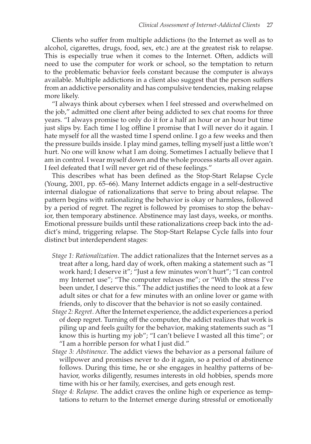Clients who suffer from multiple addictions (to the Internet as well as to alcohol, cigarettes, drugs, food, sex, etc.) are at the greatest risk to relapse. This is especially true when it comes to the Internet. Often, addicts will need to use the computer for work or school, so the temptation to return to the problematic behavior feels constant because the computer is always available. Multiple addictions in a client also suggest that the person suffers from an addictive personality and has compulsive tendencies, making relapse more likely.

"I always think about cybersex when I feel stressed and overwhelmed on the job," admitted one client after being addicted to sex chat rooms for three years. "I always promise to only do it for a half an hour or an hour but time just slips by. Each time I log offline I promise that I will never do it again. I hate myself for all the wasted time I spend online. I go a few weeks and then the pressure builds inside. I play mind games, telling myself just a little won't hurt. No one will know what I am doing. Sometimes I actually believe that I am in control. I wear myself down and the whole process starts all over again. I feel defeated that I will never get rid of these feelings."

This describes what has been defined as the Stop-Start Relapse Cycle (Young, 2001, pp. 65–66). Many Internet addicts engage in a self-destructive internal dialogue of rationalizations that serve to bring about relapse. The pattern begins with rationalizing the behavior is okay or harmless, followed by a period of regret. The regret is followed by promises to stop the behavior, then temporary abstinence. Abstinence may last days, weeks, or months. Emotional pressure builds until these rationalizations creep back into the addict's mind, triggering relapse. The Stop-Start Relapse Cycle falls into four distinct but interdependent stages:

- *Stage 1: Rationalization*. The addict rationalizes that the Internet serves as a treat after a long, hard day of work, often making a statement such as "I work hard; I deserve it"; "Just a few minutes won't hurt"; "I can control my Internet use"; "The computer relaxes me"; or "With the stress I've been under, I deserve this." The addict justifies the need to look at a few adult sites or chat for a few minutes with an online lover or game with friends, only to discover that the behavior is not so easily contained.
- *Stage 2: Regret*. After the Internet experience, the addict experiences a period of deep regret. Turning off the computer, the addict realizes that work is piling up and feels guilty for the behavior, making statements such as "I know this is hurting my job"; "I can't believe I wasted all this time"; or "I am a horrible person for what I just did."
- *Stage 3: Abstinence*. The addict views the behavior as a personal failure of willpower and promises never to do it again, so a period of abstinence follows. During this time, he or she engages in healthy patterns of behavior, works diligently, resumes interests in old hobbies, spends more time with his or her family, exercises, and gets enough rest.
- *Stage 4: Relapse*. The addict craves the online high or experience as temptations to return to the Internet emerge during stressful or emotionally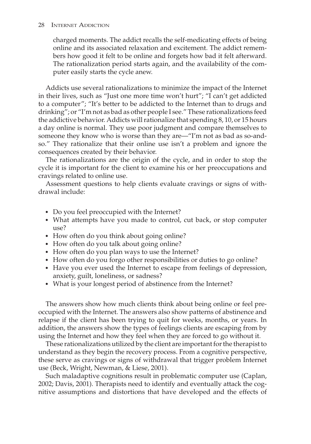charged moments. The addict recalls the self-medicating effects of being online and its associated relaxation and excitement. The addict remembers how good it felt to be online and forgets how bad it felt afterward. The rationalization period starts again, and the availability of the computer easily starts the cycle anew.

Addicts use several rationalizations to minimize the impact of the Internet in their lives, such as "Just one more time won't hurt"; "I can't get addicted to a computer"; "It's better to be addicted to the Internet than to drugs and drinking"; or "I'm not as bad as other people I see." These rationalizations feed the addictive behavior. Addicts will rationalize that spending 8, 10, or 15 hours a day online is normal. They use poor judgment and compare themselves to someone they know who is worse than they are—"I'm not as bad as so-andso." They rationalize that their online use isn't a problem and ignore the consequences created by their behavior.

The rationalizations are the origin of the cycle, and in order to stop the cycle it is important for the client to examine his or her preoccupations and cravings related to online use.

Assessment questions to help clients evaluate cravings or signs of withdrawal include:

- Do you feel preoccupied with the Internet?
- What attempts have you made to control, cut back, or stop computer use?
- How often do you think about going online?
- How often do you talk about going online?
- How often do you plan ways to use the Internet?
- How often do you forgo other responsibilities or duties to go online?
- Have you ever used the Internet to escape from feelings of depression, anxiety, guilt, loneliness, or sadness?
- What is your longest period of abstinence from the Internet?

The answers show how much clients think about being online or feel preoccupied with the Internet. The answers also show patterns of abstinence and relapse if the client has been trying to quit for weeks, months, or years. In addition, the answers show the types of feelings clients are escaping from by using the Internet and how they feel when they are forced to go without it.

These rationalizations utilized by the client are important for the therapist to understand as they begin the recovery process. From a cognitive perspective, these serve as cravings or signs of withdrawal that trigger problem Internet use (Beck, Wright, Newman, & Liese, 2001).

Such maladaptive cognitions result in problematic computer use (Caplan, 2002; Davis, 2001). Therapists need to identify and eventually attack the cognitive assumptions and distortions that have developed and the effects of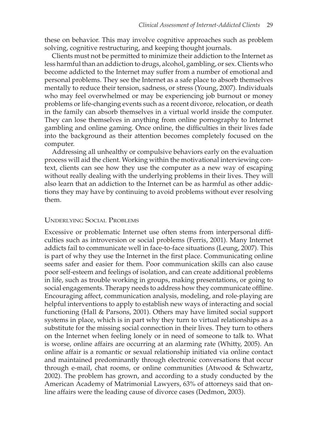these on behavior. This may involve cognitive approaches such as problem solving, cognitive restructuring, and keeping thought journals.

Clients must not be permitted to minimize their addiction to the Internet as less harmful than an addiction to drugs, alcohol, gambling, or sex. Clients who become addicted to the Internet may suffer from a number of emotional and personal problems. They see the Internet as a safe place to absorb themselves mentally to reduce their tension, sadness, or stress (Young, 2007). Individuals who may feel overwhelmed or may be experiencing job burnout or money problems or life-changing events such as a recent divorce, relocation, or death in the family can absorb themselves in a virtual world inside the computer. They can lose themselves in anything from online pornography to Internet gambling and online gaming. Once online, the difficulties in their lives fade into the background as their attention becomes completely focused on the computer.

Addressing all unhealthy or compulsive behaviors early on the evaluation process will aid the client. Working within the motivational interviewing context, clients can see how they use the computer as a new way of escaping without really dealing with the underlying problems in their lives. They will also learn that an addiction to the Internet can be as harmful as other addictions they may have by continuing to avoid problems without ever resolving them.

#### UNDERLYING SOCIAL PROBLEMS

Excessive or problematic Internet use often stems from interpersonal difficulties such as introversion or social problems (Ferris, 2001). Many Internet addicts fail to communicate well in face-to-face situations (Leung, 2007). This is part of why they use the Internet in the first place. Communicating online seems safer and easier for them. Poor communication skills can also cause poor self-esteem and feelings of isolation, and can create additional problems in life, such as trouble working in groups, making presentations, or going to social engagements. Therapy needs to address how they communicate offline. Encouraging affect, communication analysis, modeling, and role-playing are helpful interventions to apply to establish new ways of interacting and social functioning (Hall & Parsons, 2001). Others may have limited social support systems in place, which is in part why they turn to virtual relationships as a substitute for the missing social connection in their lives. They turn to others on the Internet when feeling lonely or in need of someone to talk to. What is worse, online affairs are occurring at an alarming rate (Whitty, 2005). An online affair is a romantic or sexual relationship initiated via online contact and maintained predominantly through electronic conversations that occur through e-mail, chat rooms, or online communities (Atwood & Schwartz, 2002). The problem has grown, and according to a study conducted by the American Academy of Matrimonial Lawyers, 63% of attorneys said that online affairs were the leading cause of divorce cases (Dedmon, 2003).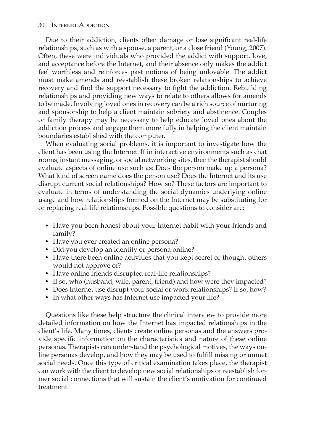Due to their addiction, clients often damage or lose significant real-life relationships, such as with a spouse, a parent, or a close friend (Young, 2007). Often, these were individuals who provided the addict with support, love, and acceptance before the Internet, and their absence only makes the addict feel worthless and reinforces past notions of being unlovable. The addict must make amends and reestablish these broken relationships to achieve recovery and find the support necessary to fight the addiction. Rebuilding relationships and providing new ways to relate to others allows for amends to be made. Involving loved ones in recovery can be a rich source of nurturing and sponsorship to help a client maintain sobriety and abstinence. Couples or family therapy may be necessary to help educate loved ones about the addiction process and engage them more fully in helping the client maintain boundaries established with the computer.

When evaluating social problems, it is important to investigate how the client has been using the Internet. If in interactive environments such as chat rooms, instant messaging, or social networking sites, then the therapist should evaluate aspects of online use such as: Does the person make up a persona? What kind of screen name does the person use? Does the Internet and its use disrupt current social relationships? How so? These factors are important to evaluate in terms of understanding the social dynamics underlying online usage and how relationships formed on the Internet may be substituting for or replacing real-life relationships. Possible questions to consider are:

- Have you been honest about your Internet habit with your friends and family?
- Have you ever created an online persona?
- Did you develop an identity or persona online?
- Have there been online activities that you kept secret or thought others would not approve of?
- Have online friends disrupted real-life relationships?
- If so, who (husband, wife, parent, friend) and how were they impacted?
- Does Internet use disrupt your social or work relationships? If so, how?
- In what other ways has Internet use impacted your life?

Questions like these help structure the clinical interview to provide more detailed information on how the Internet has impacted relationships in the client's life. Many times, clients create online personas and the answers provide specific information on the characteristics and nature of these online personas. Therapists can understand the psychological motives, the ways online personas develop, and how they may be used to fulfill missing or unmet social needs. Once this type of critical examination takes place, the therapist can work with the client to develop new social relationships or reestablish former social connections that will sustain the client's motivation for continued treatment.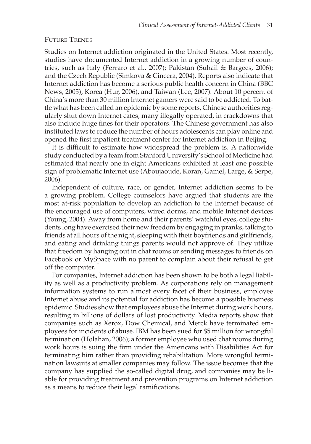#### FUTURE TRENDS

Studies on Internet addiction originated in the United States. Most recently, studies have documented Internet addiction in a growing number of countries, such as Italy (Ferraro et al., 2007); Pakistan (Suhail & Bargees, 2006); and the Czech Republic (Simkova & Cincera, 2004). Reports also indicate that Internet addiction has become a serious public health concern in China (BBC News, 2005), Korea (Hur, 2006), and Taiwan (Lee, 2007). About 10 percent of China's more than 30 million Internet gamers were said to be addicted. To battle what has been called an epidemic by some reports, Chinese authorities regularly shut down Internet cafes, many illegally operated, in crackdowns that also include huge fines for their operators. The Chinese government has also instituted laws to reduce the number of hours adolescents can play online and opened the first inpatient treatment center for Internet addiction in Beijing.

It is difficult to estimate how widespread the problem is. A nationwide study conducted by a team from Stanford University's School of Medicine had estimated that nearly one in eight Americans exhibited at least one possible sign of problematic Internet use (Aboujaoude, Koran, Gamel, Large, & Serpe, 2006).

Independent of culture, race, or gender, Internet addiction seems to be a growing problem. College counselors have argued that students are the most at-risk population to develop an addiction to the Internet because of the encouraged use of computers, wired dorms, and mobile Internet devices (Young, 2004). Away from home and their parents' watchful eyes, college students long have exercised their new freedom by engaging in pranks, talking to friends at all hours of the night, sleeping with their boyfriends and girlfriends, and eating and drinking things parents would not approve of. They utilize that freedom by hanging out in chat rooms or sending messages to friends on Facebook or MySpace with no parent to complain about their refusal to get off the computer.

For companies, Internet addiction has been shown to be both a legal liability as well as a productivity problem. As corporations rely on management information systems to run almost every facet of their business, employee Internet abuse and its potential for addiction has become a possible business epidemic. Studies show that employees abuse the Internet during work hours, resulting in billions of dollars of lost productivity. Media reports show that companies such as Xerox, Dow Chemical, and Merck have terminated employees for incidents of abuse. IBM has been sued for \$5 million for wrongful termination (Holahan, 2006); a former employee who used chat rooms during work hours is suing the firm under the Americans with Disabilities Act for terminating him rather than providing rehabilitation. More wrongful termination lawsuits at smaller companies may follow. The issue becomes that the company has supplied the so-called digital drug, and companies may be liable for providing treatment and prevention programs on Internet addiction as a means to reduce their legal ramifications.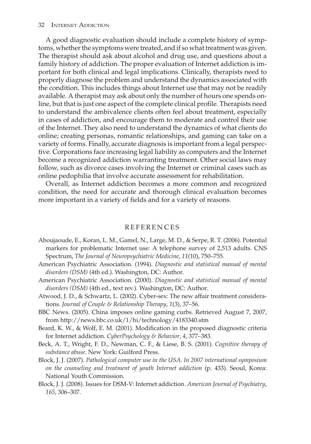A good diagnostic evaluation should include a complete history of symptoms, whether the symptoms were treated, and if so what treatment was given. The therapist should ask about alcohol and drug use, and questions about a family history of addiction. The proper evaluation of Internet addiction is important for both clinical and legal implications. Clinically, therapists need to properly diagnose the problem and understand the dynamics associated with the condition. This includes things about Internet use that may not be readily available. A therapist may ask about only the number of hours one spends online, but that is just one aspect of the complete clinical profile. Therapists need to understand the ambivalence clients often feel about treatment, especially in cases of addiction, and encourage them to moderate and control their use of the Internet. They also need to understand the dynamics of what clients do online; creating personas, romantic relationships, and gaming can take on a variety of forms. Finally, accurate diagnosis is important from a legal perspective. Corporations face increasing legal liability as computers and the Internet become a recognized addiction warranting treatment. Other social laws may follow, such as divorce cases involving the Internet or criminal cases such as online pedophilia that involve accurate assessment for rehabilitation.

Overall, as Internet addiction becomes a more common and recognized condition, the need for accurate and thorough clinical evaluation becomes more important in a variety of fields and for a variety of reasons.

#### REFERENCES

- Aboujaoude, E., Koran, L. M., Gamel, N., Large, M. D., & Serpe, R. T. (2006). Potential markers for problematic Internet use: A telephone survey of 2,513 adults. CNS Spectrum, *The Journal of Neuropsychiatric Medicine*, *11*(10), 750–755.
- American Psychiatric Association. (1994). *Diagnostic and statistical manual of mental disorders (DSM)* (4th ed.). Washington, DC: Author.
- American Psychiatric Association. (2000). *Diagnostic and statistical manual of mental disorders (DSM)* (4th ed., text rev.). Washington, DC: Author.
- Atwood, J. D., & Schwartz, L. (2002). Cyber-sex: The new affair treatment considerations. *Journal of Couple & Relationship Therapy*, *1*(3), 37–56.
- BBC News. (2005). China imposes online gaming curbs. Retrieved August 7, 2007, from http://news.bbc.co.uk/1/hi/technology/4183340.stm
- Beard, K. W., & Wolf, E. M. (2001). Modification in the proposed diagnostic criteria for Internet addiction. *CyberPsychology & Behavior*, *4*, 377–383.
- Beck, A. T., Wright, F. D., Newman, C. F., & Liese, B. S. (2001). *Cognitive therapy of substance abuse*. New York: Guilford Press.
- Block, J. J. (2007). *Pathological computer use in the USA. In 2007 international symposium on the counseling and treatment of youth Internet addiction* (p. 433). Seoul, Korea: National Youth Commission.
- Block, J. J. (2008). Issues for DSM-V: Internet addiction. *American Journal of Psychiatry*, *165*, 306–307.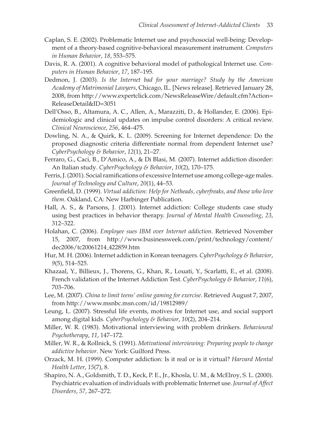- Caplan, S. E. (2002). Problematic Internet use and psychosocial well-being: Development of a theory-based cognitive-behavioral measurement instrument. *Computers in Human Behavior*, *18*, 553–575.
- Davis, R. A. (2001). A cognitive behavioral model of pathological Internet use. *Computers in Human Behavior*, *17*, 187–195.
- Dedmon, J. (2003). *Is the Internet bad for your marriage? Study by the American Academy of Matrimonial Lawyers*, Chicago, IL. [News release]. Retrieved January 28, 2008, from http://www.expertclick.com/NewsReleaseWire/default.cfm?Action= ReleaseDetail&ID=3051
- Dell'Osso, B., Altamura, A. C., Allen, A., Marazziti, D., & Hollander, E. (2006). Epidemiologic and clinical updates on impulse control disorders: A critical review. *Clinical Neuroscience*, *256*, 464–475.
- Dowling, N. A., & Quirk, K. L. (2009). Screening for Internet dependence: Do the proposed diagnostic criteria differentiate normal from dependent Internet use? *CyberPsychology & Behavior*, *12*(1), 21–27.
- Ferraro, G., Caci, B., D'Amico, A., & Di Blasi, M. (2007). Internet addiction disorder: An Italian study. *CyberPsychology & Behavior*, *10*(2), 170–175.
- Ferris, J. (2001). Social ramifications of excessive Internet use among college-age males. *Journal of Technology and Culture*, *20*(1), 44–53.
- Greenfield, D. (1999). *Virtual addiction: Help for Netheads, cyberfreaks, and those who love them*. Oakland, CA: New Harbinger Publication.
- Hall, A. S., & Parsons, J. (2001). Internet addiction: College students case study using best practices in behavior therapy. *Journal of Mental Health Counseling*, *23*, 312–322.
- Holahan, C. (2006). *Employee sues IBM over Internet addiction*. Retrieved November 15, 2007, from http://www.businessweek.com/print/technology/content/ dec2006/tc20061214 422859.htm
- Hur, M. H. (2006). Internet addiction in Korean teenagers. *CyberPsychology & Behavior*, *9*(5), 514–525.
- Khazaal, Y., Billieux, J., Thorens, G., Khan, R., Louati, Y., Scarlatti, E., et al. (2008). French validation of the Internet Addiction Test. *CyberPsychology & Behavior*, *11*(6), 703–706.
- Lee, M. (2007). *China to limit teens' online gaming for exercise*. Retrieved August 7, 2007, from http://www.msnbc.msn.com/id/19812989/
- Leung, L. (2007). Stressful life events, motives for Internet use, and social support among digital kids. *CyberPsychology & Behavior*, *10*(2), 204–214.
- Miller, W. R. (1983). Motivational interviewing with problem drinkers. *Behavioural Psychotherapy*, *11*, 147–172.
- Miller, W. R., & Rollnick, S. (1991). *Motivational interviewing: Preparing people to change addictive behavior*. New York: Guilford Press.
- Orzack, M. H. (1999). Computer addiction: Is it real or is it virtual? *Harvard Mental Health Letter*, *15*(7), 8.
- Shapiro, N. A., Goldsmith, T. D., Keck, P. E., Jr., Khosla, U. M., & McElroy, S. L. (2000). Psychiatric evaluation of individuals with problematic Internet use. *Journal of Affect Disorders*, *57*, 267–272.